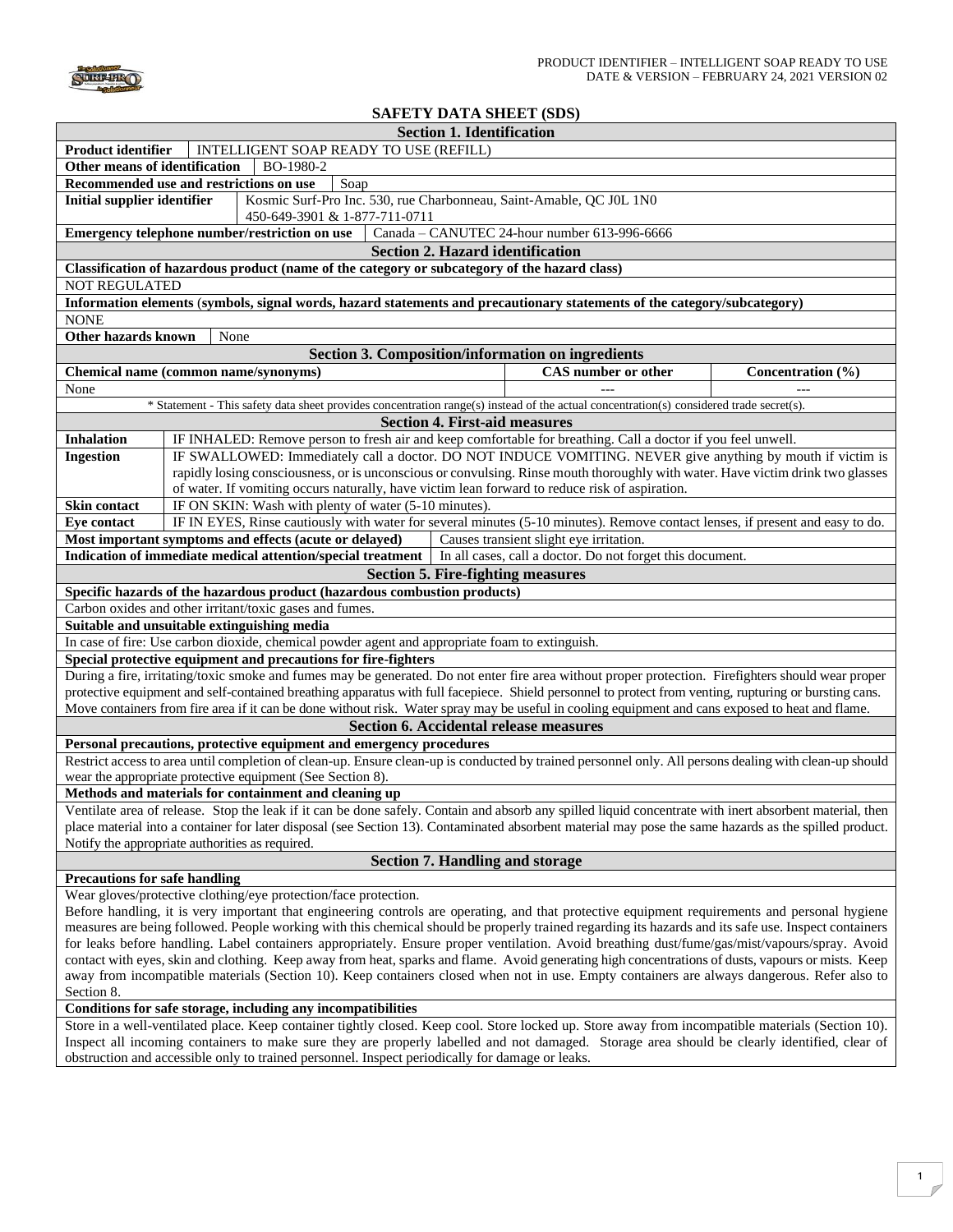

## **SAFETY DATA SHEET (SDS)**

|                                                                                                                                                          | $\mu$                                                                                                                                                  |  |                   |  |  |
|----------------------------------------------------------------------------------------------------------------------------------------------------------|--------------------------------------------------------------------------------------------------------------------------------------------------------|--|-------------------|--|--|
|                                                                                                                                                          | <b>Section 1. Identification</b>                                                                                                                       |  |                   |  |  |
| <b>Product identifier</b>                                                                                                                                | INTELLIGENT SOAP READY TO USE (REFILL)                                                                                                                 |  |                   |  |  |
| Other means of identification                                                                                                                            | BO-1980-2                                                                                                                                              |  |                   |  |  |
|                                                                                                                                                          | Recommended use and restrictions on use<br>Soap                                                                                                        |  |                   |  |  |
| <b>Initial supplier identifier</b>                                                                                                                       | Kosmic Surf-Pro Inc. 530, rue Charbonneau, Saint-Amable, QC J0L 1N0<br>450-649-3901 & 1-877-711-0711                                                   |  |                   |  |  |
|                                                                                                                                                          | Emergency telephone number/restriction on use<br>Canada - CANUTEC 24-hour number 613-996-6666                                                          |  |                   |  |  |
|                                                                                                                                                          | <b>Section 2. Hazard identification</b>                                                                                                                |  |                   |  |  |
|                                                                                                                                                          | Classification of hazardous product (name of the category or subcategory of the hazard class)                                                          |  |                   |  |  |
| <b>NOT REGULATED</b>                                                                                                                                     |                                                                                                                                                        |  |                   |  |  |
|                                                                                                                                                          | Information elements (symbols, signal words, hazard statements and precautionary statements of the category/subcategory)                               |  |                   |  |  |
| <b>NONE</b>                                                                                                                                              |                                                                                                                                                        |  |                   |  |  |
| Other hazards known                                                                                                                                      | None                                                                                                                                                   |  |                   |  |  |
|                                                                                                                                                          | <b>Section 3. Composition/information on ingredients</b>                                                                                               |  |                   |  |  |
|                                                                                                                                                          | CAS number or other<br>Chemical name (common name/synonyms)                                                                                            |  | Concentration (%) |  |  |
| None                                                                                                                                                     |                                                                                                                                                        |  |                   |  |  |
|                                                                                                                                                          | * Statement - This safety data sheet provides concentration range(s) instead of the actual concentration(s) considered trade secret(s).                |  |                   |  |  |
|                                                                                                                                                          | <b>Section 4. First-aid measures</b>                                                                                                                   |  |                   |  |  |
| <b>Inhalation</b>                                                                                                                                        | IF INHALED: Remove person to fresh air and keep comfortable for breathing. Call a doctor if you feel unwell.                                           |  |                   |  |  |
| <b>Ingestion</b>                                                                                                                                         | IF SWALLOWED: Immediately call a doctor. DO NOT INDUCE VOMITING. NEVER give anything by mouth if victim is                                             |  |                   |  |  |
|                                                                                                                                                          | rapidly losing consciousness, or is unconscious or convulsing. Rinse mouth thoroughly with water. Have victim drink two glasses                        |  |                   |  |  |
|                                                                                                                                                          | of water. If vomiting occurs naturally, have victim lean forward to reduce risk of aspiration.                                                         |  |                   |  |  |
| Skin contact                                                                                                                                             | IF ON SKIN: Wash with plenty of water (5-10 minutes).                                                                                                  |  |                   |  |  |
| <b>Eye contact</b>                                                                                                                                       | IF IN EYES, Rinse cautiously with water for several minutes (5-10 minutes). Remove contact lenses, if present and easy to do.                          |  |                   |  |  |
|                                                                                                                                                          | Most important symptoms and effects (acute or delayed)<br>Causes transient slight eye irritation.                                                      |  |                   |  |  |
|                                                                                                                                                          | Indication of immediate medical attention/special treatment   In all cases, call a doctor. Do not forget this document.                                |  |                   |  |  |
|                                                                                                                                                          | <b>Section 5. Fire-fighting measures</b>                                                                                                               |  |                   |  |  |
|                                                                                                                                                          | Specific hazards of the hazardous product (hazardous combustion products)                                                                              |  |                   |  |  |
|                                                                                                                                                          | Carbon oxides and other irritant/toxic gases and fumes.                                                                                                |  |                   |  |  |
| Suitable and unsuitable extinguishing media                                                                                                              |                                                                                                                                                        |  |                   |  |  |
|                                                                                                                                                          | In case of fire: Use carbon dioxide, chemical powder agent and appropriate foam to extinguish.                                                         |  |                   |  |  |
| Special protective equipment and precautions for fire-fighters                                                                                           |                                                                                                                                                        |  |                   |  |  |
|                                                                                                                                                          | During a fire, irritating/toxic smoke and fumes may be generated. Do not enter fire area without proper protection. Firefighters should wear proper    |  |                   |  |  |
|                                                                                                                                                          | protective equipment and self-contained breathing apparatus with full facepiece. Shield personnel to protect from venting, rupturing or bursting cans. |  |                   |  |  |
|                                                                                                                                                          | Move containers from fire area if it can be done without risk. Water spray may be useful in cooling equipment and cans exposed to heat and flame.      |  |                   |  |  |
| <b>Section 6. Accidental release measures</b>                                                                                                            |                                                                                                                                                        |  |                   |  |  |
| Personal precautions, protective equipment and emergency procedures                                                                                      |                                                                                                                                                        |  |                   |  |  |
| Restrict access to area until completion of clean-up. Ensure clean-up is conducted by trained personnel only. All persons dealing with clean-up should   |                                                                                                                                                        |  |                   |  |  |
| wear the appropriate protective equipment (See Section 8).                                                                                               |                                                                                                                                                        |  |                   |  |  |
| Methods and materials for containment and cleaning up                                                                                                    |                                                                                                                                                        |  |                   |  |  |
| Ventilate area of release. Stop the leak if it can be done safely. Contain and absorb any spilled liquid concentrate with inert absorbent material, then |                                                                                                                                                        |  |                   |  |  |
| place material into a container for later disposal (see Section 13). Contaminated absorbent material may pose the same hazards as the spilled product.   |                                                                                                                                                        |  |                   |  |  |
| Notify the appropriate authorities as required.                                                                                                          |                                                                                                                                                        |  |                   |  |  |
| <b>Section 7. Handling and storage</b>                                                                                                                   |                                                                                                                                                        |  |                   |  |  |
| <b>Precautions for safe handling</b>                                                                                                                     |                                                                                                                                                        |  |                   |  |  |
|                                                                                                                                                          | Wear gloves/protective clothing/eye protection/face protection.                                                                                        |  |                   |  |  |
| Before handling, it is very important that engineering controls are operating, and that protective equipment requirements and personal hygiene           |                                                                                                                                                        |  |                   |  |  |
| measures are being followed. People working with this chemical should be properly trained regarding its hazards and its safe use. Inspect containers     |                                                                                                                                                        |  |                   |  |  |
| for leaks before handling. Label containers appropriately. Ensure proper ventilation. Avoid breathing dust/fume/gas/mist/vapours/spray. Avoid            |                                                                                                                                                        |  |                   |  |  |
| contact with eyes, skin and clothing. Keep away from heat, sparks and flame. Avoid generating high concentrations of dusts, vapours or mists. Keep       |                                                                                                                                                        |  |                   |  |  |
| away from incompatible materials (Section 10). Keep containers closed when not in use. Empty containers are always dangerous. Refer also to              |                                                                                                                                                        |  |                   |  |  |
| Section 8.                                                                                                                                               |                                                                                                                                                        |  |                   |  |  |
| Conditions for safe storage, including any incompatibilities                                                                                             |                                                                                                                                                        |  |                   |  |  |
| Store in a well-ventilated place. Keep container tightly closed. Keep cool. Store locked up. Store away from incompatible materials (Section 10).        |                                                                                                                                                        |  |                   |  |  |
| Inspect all incoming containers to make sure they are properly labelled and not damaged. Storage area should be clearly identified, clear of             |                                                                                                                                                        |  |                   |  |  |

obstruction and accessible only to trained personnel. Inspect periodically for damage or leaks.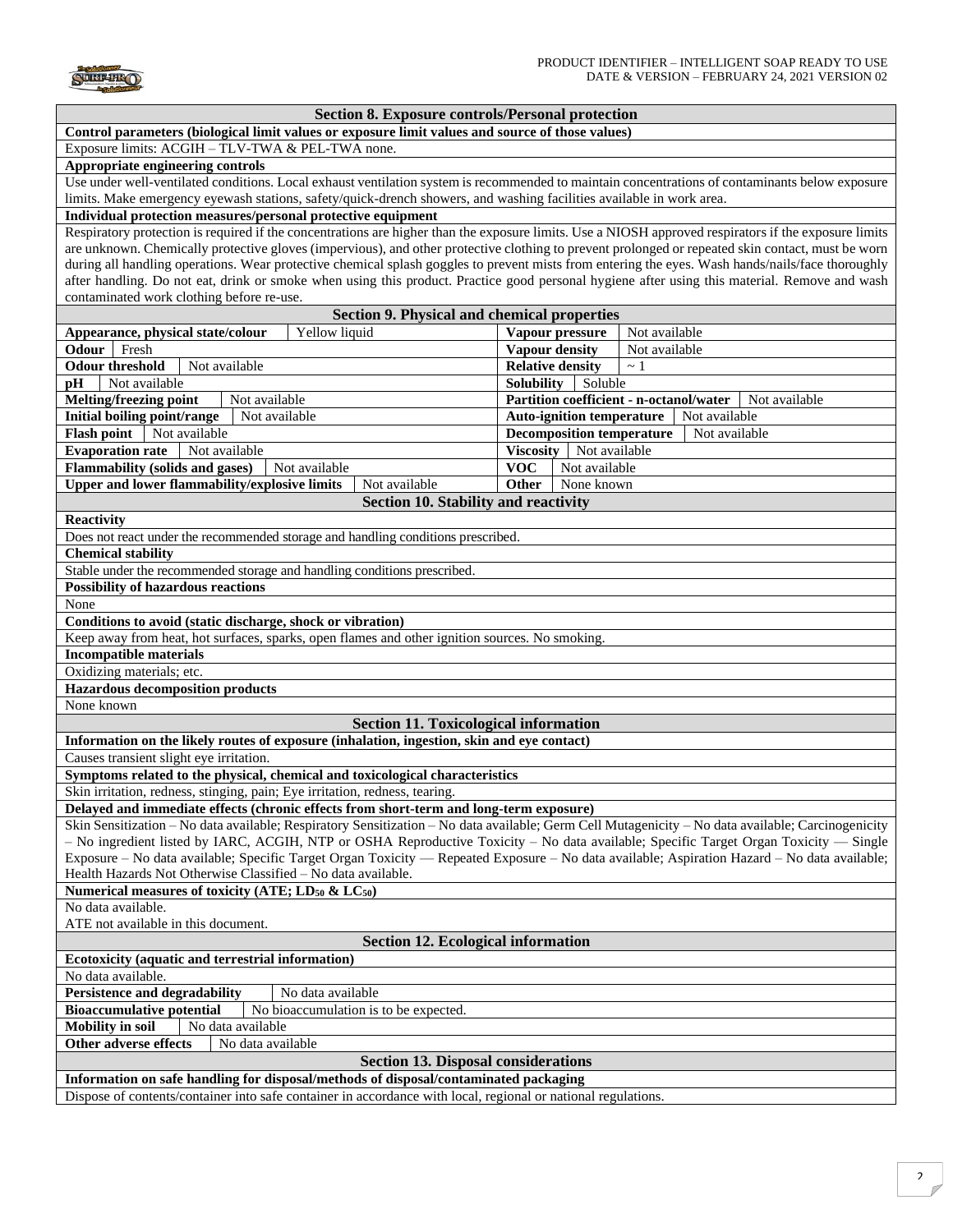

| Section 8. Exposure controls/Personal protection |  |  |  |  |  |  |
|--------------------------------------------------|--|--|--|--|--|--|
|--------------------------------------------------|--|--|--|--|--|--|

**Control parameters (biological limit values or exposure limit values and source of those values)** 

Exposure limits: ACGIH – TLV-TWA & PEL-TWA none.

## **Appropriate engineering controls**

Use under well-ventilated conditions. Local exhaust ventilation system is recommended to maintain concentrations of contaminants below exposure limits. Make emergency eyewash stations, safety/quick-drench showers, and washing facilities available in work area.

## **Individual protection measures/personal protective equipment**

Respiratory protection is required if the concentrations are higher than the exposure limits. Use a NIOSH approved respirators if the exposure limits are unknown. Chemically protective gloves (impervious), and other protective clothing to prevent prolonged or repeated skin contact, must be worn during all handling operations. Wear protective chemical splash goggles to prevent mists from entering the eyes. Wash hands/nails/face thoroughly after handling. Do not eat, drink or smoke when using this product. Practice good personal hygiene after using this material. Remove and wash contaminated work clothing before re-use.

| contaminated work crotting before re-use.                                                                                                          |                                             |                                                          |  |  |
|----------------------------------------------------------------------------------------------------------------------------------------------------|---------------------------------------------|----------------------------------------------------------|--|--|
|                                                                                                                                                    | Section 9. Physical and chemical properties |                                                          |  |  |
| Yellow liquid<br>Appearance, physical state/colour                                                                                                 | Vapour pressure                             | Not available                                            |  |  |
| <b>Odour</b> Fresh                                                                                                                                 | <b>Vapour density</b>                       | Not available                                            |  |  |
| <b>Odour threshold</b><br>Not available                                                                                                            | <b>Relative density</b>                     | $\sim$ 1                                                 |  |  |
| Not available<br>pH                                                                                                                                | Solubility                                  | Soluble                                                  |  |  |
| <b>Melting/freezing point</b><br>Not available                                                                                                     |                                             | Partition coefficient - n-octanol/water<br>Not available |  |  |
| Initial boiling point/range<br>Not available                                                                                                       |                                             | <b>Auto-ignition temperature</b><br>Not available        |  |  |
| <b>Flash point</b><br>Not available                                                                                                                | <b>Decomposition temperature</b>            | Not available                                            |  |  |
| <b>Evaporation rate</b><br>Not available                                                                                                           |                                             |                                                          |  |  |
| Viscosity   Not available<br><b>Flammability (solids and gases)</b><br><b>VOC</b>                                                                  |                                             |                                                          |  |  |
| Not available<br>Not available<br><b>Upper and lower flammability/explosive limits</b><br>Other<br>Not available<br>None known                     |                                             |                                                          |  |  |
|                                                                                                                                                    | Section 10. Stability and reactivity        |                                                          |  |  |
|                                                                                                                                                    |                                             |                                                          |  |  |
| <b>Reactivity</b>                                                                                                                                  |                                             |                                                          |  |  |
| Does not react under the recommended storage and handling conditions prescribed.                                                                   |                                             |                                                          |  |  |
| <b>Chemical stability</b>                                                                                                                          |                                             |                                                          |  |  |
| Stable under the recommended storage and handling conditions prescribed.                                                                           |                                             |                                                          |  |  |
| <b>Possibility of hazardous reactions</b>                                                                                                          |                                             |                                                          |  |  |
| None                                                                                                                                               |                                             |                                                          |  |  |
| Conditions to avoid (static discharge, shock or vibration)                                                                                         |                                             |                                                          |  |  |
| Keep away from heat, hot surfaces, sparks, open flames and other ignition sources. No smoking                                                      |                                             |                                                          |  |  |
| <b>Incompatible materials</b>                                                                                                                      |                                             |                                                          |  |  |
| Oxidizing materials; etc.                                                                                                                          |                                             |                                                          |  |  |
| <b>Hazardous decomposition products</b>                                                                                                            |                                             |                                                          |  |  |
| None known                                                                                                                                         |                                             |                                                          |  |  |
| <b>Section 11. Toxicological information</b>                                                                                                       |                                             |                                                          |  |  |
| Information on the likely routes of exposure (inhalation, ingestion, skin and eve contact)                                                         |                                             |                                                          |  |  |
| Causes transient slight eye irritation.                                                                                                            |                                             |                                                          |  |  |
| Symptoms related to the physical, chemical and toxicological characteristics                                                                       |                                             |                                                          |  |  |
| Skin irritation, redness, stinging, pain; Eye irritation, redness, tearing.                                                                        |                                             |                                                          |  |  |
| Delayed and immediate effects (chronic effects from short-term and long-term exposure)                                                             |                                             |                                                          |  |  |
| Skin Sensitization - No data available; Respiratory Sensitization - No data available; Germ Cell Mutagenicity - No data available; Carcinogenicity |                                             |                                                          |  |  |
| - No ingredient listed by IARC, ACGIH, NTP or OSHA Reproductive Toxicity - No data available; Specific Target Organ Toxicity - Single              |                                             |                                                          |  |  |
| Exposure - No data available; Specific Target Organ Toxicity - Repeated Exposure - No data available; Aspiration Hazard - No data available;       |                                             |                                                          |  |  |
| Health Hazards Not Otherwise Classified – No data available.                                                                                       |                                             |                                                          |  |  |
| Numerical measures of toxicity (ATE; LD <sub>50</sub> & LC <sub>50</sub> )                                                                         |                                             |                                                          |  |  |
| No data available.                                                                                                                                 |                                             |                                                          |  |  |
| ATE not available in this document.                                                                                                                |                                             |                                                          |  |  |
| <b>Section 12. Ecological information</b>                                                                                                          |                                             |                                                          |  |  |
| Ecotoxicity (aquatic and terrestrial information)                                                                                                  |                                             |                                                          |  |  |
| No data available.                                                                                                                                 |                                             |                                                          |  |  |
| <b>Persistence and degradability</b><br>No data available                                                                                          |                                             |                                                          |  |  |
| <b>Bioaccumulative potential</b><br>No bioaccumulation is to be expected.                                                                          |                                             |                                                          |  |  |
| <b>Mobility in soil</b><br>No data available                                                                                                       |                                             |                                                          |  |  |
| <b>Other adverse effects</b><br>No data available                                                                                                  |                                             |                                                          |  |  |
| <b>Section 13. Disposal considerations</b>                                                                                                         |                                             |                                                          |  |  |
| Information on safe handling for disposal/methods of disposal/contaminated packaging                                                               |                                             |                                                          |  |  |
| Dispose of contents/container into safe container in accordance with local, regional or national regulations.                                      |                                             |                                                          |  |  |
|                                                                                                                                                    |                                             |                                                          |  |  |